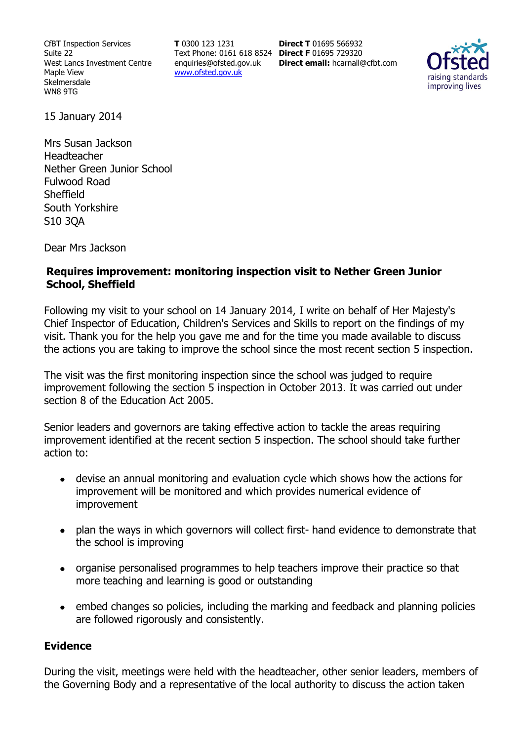CfBT Inspection Services Suite 22 West Lancs Investment Centre Maple View Skelmersdale WN8 9TG

**T** 0300 123 1231 Text Phone: 0161 618 8524 **Direct F** 01695 729320 enquiries@ofsted.gov.uk www.ofsted.gov.uk

**Direct T** 01695 566932 **Direct email:** hcarnall@cfbt.com



15 January 2014

Mrs Susan Jackson Headteacher Nether Green Junior School Fulwood Road **Sheffield** South Yorkshire S10 3QA

Dear Mrs Jackson

### **Requires improvement: monitoring inspection visit to Nether Green Junior School, Sheffield**

Following my visit to your school on 14 January 2014, I write on behalf of Her Majesty's Chief Inspector of Education, Children's Services and Skills to report on the findings of my visit. Thank you for the help you gave me and for the time you made available to discuss the actions you are taking to improve the school since the most recent section 5 inspection.

The visit was the first monitoring inspection since the school was judged to require improvement following the section 5 inspection in October 2013. It was carried out under section 8 of the Education Act 2005.

Senior leaders and governors are taking effective action to tackle the areas requiring improvement identified at the recent section 5 inspection. The school should take further action to:

- devise an annual monitoring and evaluation cycle which shows how the actions for improvement will be monitored and which provides numerical evidence of improvement
- plan the ways in which governors will collect first- hand evidence to demonstrate that the school is improving
- organise personalised programmes to help teachers improve their practice so that  $\bullet$ more teaching and learning is good or outstanding
- $\bullet$ embed changes so policies, including the marking and feedback and planning policies are followed rigorously and consistently.

#### **Evidence**

During the visit, meetings were held with the headteacher, other senior leaders, members of the Governing Body and a representative of the local authority to discuss the action taken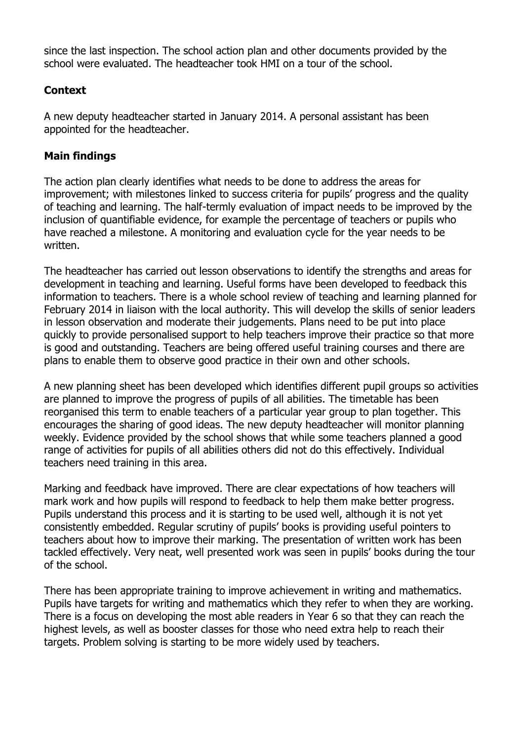since the last inspection. The school action plan and other documents provided by the school were evaluated. The headteacher took HMI on a tour of the school.

# **Context**

A new deputy headteacher started in January 2014. A personal assistant has been appointed for the headteacher.

## **Main findings**

The action plan clearly identifies what needs to be done to address the areas for improvement; with milestones linked to success criteria for pupils' progress and the quality of teaching and learning. The half-termly evaluation of impact needs to be improved by the inclusion of quantifiable evidence, for example the percentage of teachers or pupils who have reached a milestone. A monitoring and evaluation cycle for the year needs to be written.

The headteacher has carried out lesson observations to identify the strengths and areas for development in teaching and learning. Useful forms have been developed to feedback this information to teachers. There is a whole school review of teaching and learning planned for February 2014 in liaison with the local authority. This will develop the skills of senior leaders in lesson observation and moderate their judgements. Plans need to be put into place quickly to provide personalised support to help teachers improve their practice so that more is good and outstanding. Teachers are being offered useful training courses and there are plans to enable them to observe good practice in their own and other schools.

A new planning sheet has been developed which identifies different pupil groups so activities are planned to improve the progress of pupils of all abilities. The timetable has been reorganised this term to enable teachers of a particular year group to plan together. This encourages the sharing of good ideas. The new deputy headteacher will monitor planning weekly. Evidence provided by the school shows that while some teachers planned a good range of activities for pupils of all abilities others did not do this effectively. Individual teachers need training in this area.

Marking and feedback have improved. There are clear expectations of how teachers will mark work and how pupils will respond to feedback to help them make better progress. Pupils understand this process and it is starting to be used well, although it is not yet consistently embedded. Regular scrutiny of pupils' books is providing useful pointers to teachers about how to improve their marking. The presentation of written work has been tackled effectively. Very neat, well presented work was seen in pupils' books during the tour of the school.

There has been appropriate training to improve achievement in writing and mathematics. Pupils have targets for writing and mathematics which they refer to when they are working. There is a focus on developing the most able readers in Year 6 so that they can reach the highest levels, as well as booster classes for those who need extra help to reach their targets. Problem solving is starting to be more widely used by teachers.